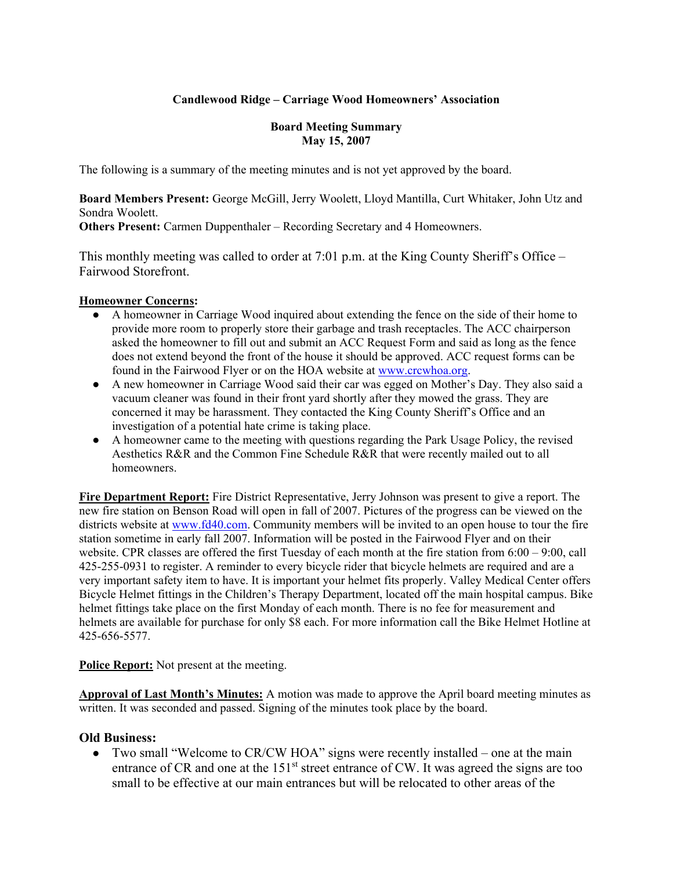# **Candlewood Ridge – Carriage Wood Homeowners' Association**

### **Board Meeting Summary May 15, 2007**

The following is a summary of the meeting minutes and is not yet approved by the board.

**Board Members Present:** George McGill, Jerry Woolett, Lloyd Mantilla, Curt Whitaker, John Utz and Sondra Woolett.

**Others Present:** Carmen Duppenthaler – Recording Secretary and 4 Homeowners.

This monthly meeting was called to order at 7:01 p.m. at the King County Sheriff's Office – Fairwood Storefront.

#### **Homeowner Concerns:**

- A homeowner in Carriage Wood inquired about extending the fence on the side of their home to provide more room to properly store their garbage and trash receptacles. The ACC chairperson asked the homeowner to fill out and submit an ACC Request Form and said as long as the fence does not extend beyond the front of the house it should be approved. ACC request forms can be found in the Fairwood Flyer or on the HOA website at www.crcwhoa.org.
- A new homeowner in Carriage Wood said their car was egged on Mother's Day. They also said a vacuum cleaner was found in their front yard shortly after they mowed the grass. They are concerned it may be harassment. They contacted the King County Sheriff's Office and an investigation of a potential hate crime is taking place.
- A homeowner came to the meeting with questions regarding the Park Usage Policy, the revised Aesthetics R&R and the Common Fine Schedule R&R that were recently mailed out to all homeowners.

**Fire Department Report:** Fire District Representative, Jerry Johnson was present to give a report. The new fire station on Benson Road will open in fall of 2007. Pictures of the progress can be viewed on the districts website at www.fd40.com. Community members will be invited to an open house to tour the fire station sometime in early fall 2007. Information will be posted in the Fairwood Flyer and on their website. CPR classes are offered the first Tuesday of each month at the fire station from 6:00 – 9:00, call 425-255-0931 to register. A reminder to every bicycle rider that bicycle helmets are required and are a very important safety item to have. It is important your helmet fits properly. Valley Medical Center offers Bicycle Helmet fittings in the Children's Therapy Department, located off the main hospital campus. Bike helmet fittings take place on the first Monday of each month. There is no fee for measurement and helmets are available for purchase for only \$8 each. For more information call the Bike Helmet Hotline at 425-656-5577.

**Police Report:** Not present at the meeting.

**Approval of Last Month's Minutes:** A motion was made to approve the April board meeting minutes as written. It was seconded and passed. Signing of the minutes took place by the board.

## **Old Business:**

• Two small "Welcome to CR/CW HOA" signs were recently installed – one at the main entrance of CR and one at the  $151<sup>st</sup>$  street entrance of CW. It was agreed the signs are too small to be effective at our main entrances but will be relocated to other areas of the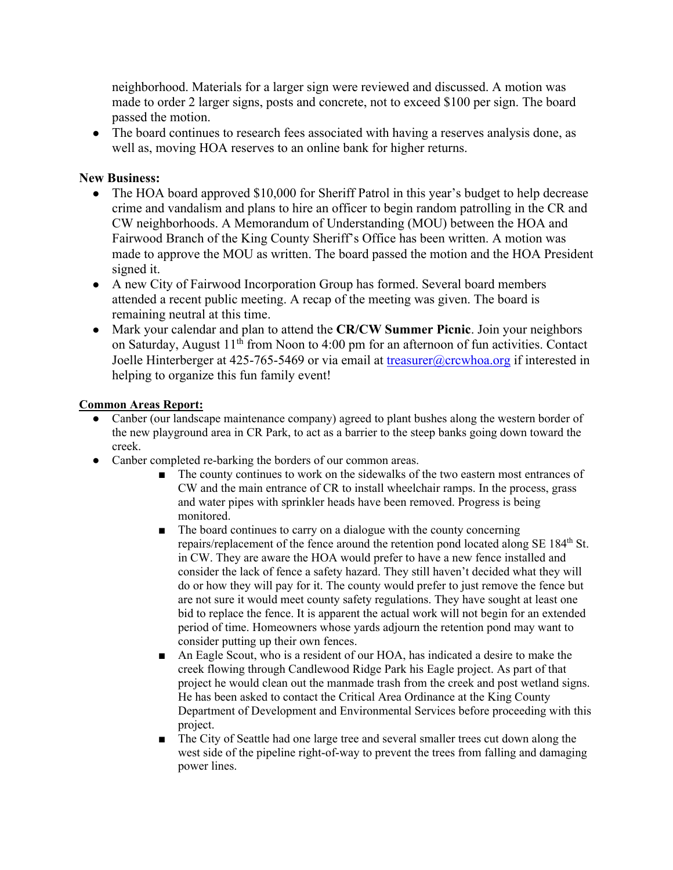neighborhood. Materials for a larger sign were reviewed and discussed. A motion was made to order 2 larger signs, posts and concrete, not to exceed \$100 per sign. The board passed the motion.

• The board continues to research fees associated with having a reserves analysis done, as well as, moving HOA reserves to an online bank for higher returns.

# **New Business:**

- The HOA board approved \$10,000 for Sheriff Patrol in this year's budget to help decrease crime and vandalism and plans to hire an officer to begin random patrolling in the CR and CW neighborhoods. A Memorandum of Understanding (MOU) between the HOA and Fairwood Branch of the King County Sheriff's Office has been written. A motion was made to approve the MOU as written. The board passed the motion and the HOA President signed it.
- A new City of Fairwood Incorporation Group has formed. Several board members attended a recent public meeting. A recap of the meeting was given. The board is remaining neutral at this time.
- Mark your calendar and plan to attend the **CR/CW Summer Picnic**. Join your neighbors on Saturday, August 11<sup>th</sup> from Noon to 4:00 pm for an afternoon of fun activities. Contact Joelle Hinterberger at 425-765-5469 or via email at treasurer@crcwhoa.org if interested in helping to organize this fun family event!

## **Common Areas Report:**

- Canber (our landscape maintenance company) agreed to plant bushes along the western border of the new playground area in CR Park, to act as a barrier to the steep banks going down toward the creek.
- Canber completed re-barking the borders of our common areas.
	- The county continues to work on the sidewalks of the two eastern most entrances of CW and the main entrance of CR to install wheelchair ramps. In the process, grass and water pipes with sprinkler heads have been removed. Progress is being monitored.
	- The board continues to carry on a dialogue with the county concerning repairs/replacement of the fence around the retention pond located along SE 184<sup>th</sup> St. in CW. They are aware the HOA would prefer to have a new fence installed and consider the lack of fence a safety hazard. They still haven't decided what they will do or how they will pay for it. The county would prefer to just remove the fence but are not sure it would meet county safety regulations. They have sought at least one bid to replace the fence. It is apparent the actual work will not begin for an extended period of time. Homeowners whose yards adjourn the retention pond may want to consider putting up their own fences.
	- An Eagle Scout, who is a resident of our HOA, has indicated a desire to make the creek flowing through Candlewood Ridge Park his Eagle project. As part of that project he would clean out the manmade trash from the creek and post wetland signs. He has been asked to contact the Critical Area Ordinance at the King County Department of Development and Environmental Services before proceeding with this project.
	- The City of Seattle had one large tree and several smaller trees cut down along the west side of the pipeline right-of-way to prevent the trees from falling and damaging power lines.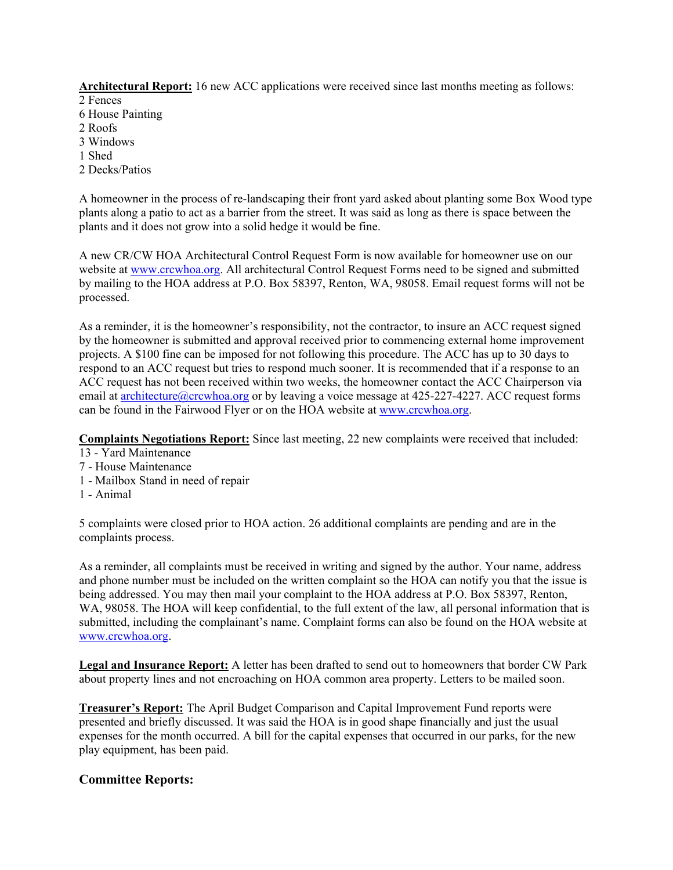**Architectural Report:** 16 new ACC applications were received since last months meeting as follows:

- 2 Fences
- 6 House Painting
- 2 Roofs
- 3 Windows
- 1 Shed
- 2 Decks/Patios

A homeowner in the process of re-landscaping their front yard asked about planting some Box Wood type plants along a patio to act as a barrier from the street. It was said as long as there is space between the plants and it does not grow into a solid hedge it would be fine.

A new CR/CW HOA Architectural Control Request Form is now available for homeowner use on our website at www.crcwhoa.org. All architectural Control Request Forms need to be signed and submitted by mailing to the HOA address at P.O. Box 58397, Renton, WA, 98058. Email request forms will not be processed.

As a reminder, it is the homeowner's responsibility, not the contractor, to insure an ACC request signed by the homeowner is submitted and approval received prior to commencing external home improvement projects. A \$100 fine can be imposed for not following this procedure. The ACC has up to 30 days to respond to an ACC request but tries to respond much sooner. It is recommended that if a response to an ACC request has not been received within two weeks, the homeowner contact the ACC Chairperson via email at **architecture** (a) crcwhoa.org or by leaving a voice message at 425-227-4227. ACC request forms can be found in the Fairwood Flyer or on the HOA website at www.crcwhoa.org.

**Complaints Negotiations Report:** Since last meeting, 22 new complaints were received that included:

- 13 Yard Maintenance
- 7 House Maintenance
- 1 Mailbox Stand in need of repair
- 1 Animal

5 complaints were closed prior to HOA action. 26 additional complaints are pending and are in the complaints process.

As a reminder, all complaints must be received in writing and signed by the author. Your name, address and phone number must be included on the written complaint so the HOA can notify you that the issue is being addressed. You may then mail your complaint to the HOA address at P.O. Box 58397, Renton, WA, 98058. The HOA will keep confidential, to the full extent of the law, all personal information that is submitted, including the complainant's name. Complaint forms can also be found on the HOA website at www.crcwhoa.org.

**Legal and Insurance Report:** A letter has been drafted to send out to homeowners that border CW Park about property lines and not encroaching on HOA common area property. Letters to be mailed soon.

**Treasurer's Report:** The April Budget Comparison and Capital Improvement Fund reports were presented and briefly discussed. It was said the HOA is in good shape financially and just the usual expenses for the month occurred. A bill for the capital expenses that occurred in our parks, for the new play equipment, has been paid.

# **Committee Reports:**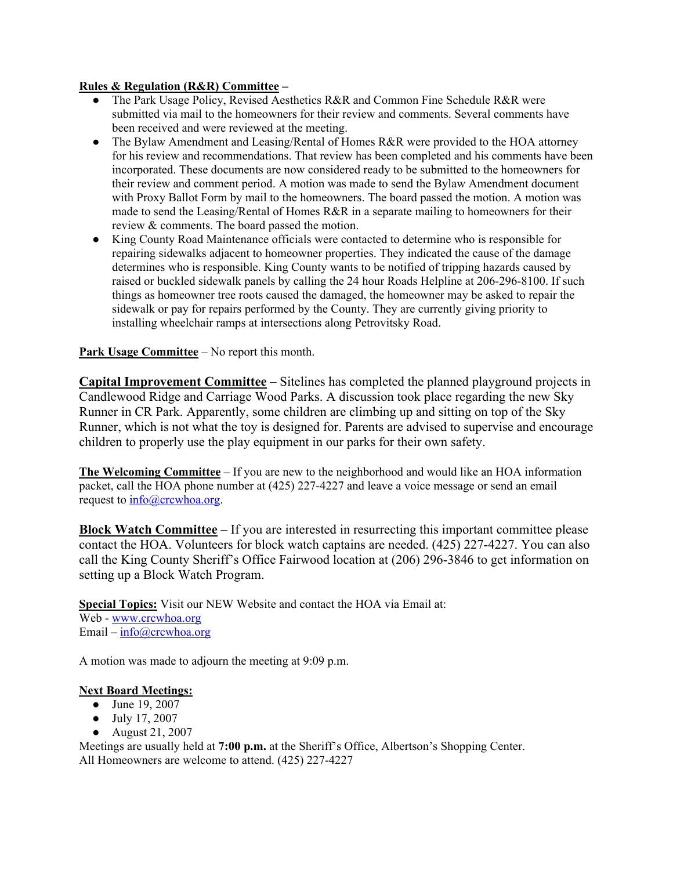#### **Rules & Regulation (R&R) Committee –**

- The Park Usage Policy, Revised Aesthetics R&R and Common Fine Schedule R&R were submitted via mail to the homeowners for their review and comments. Several comments have been received and were reviewed at the meeting.
- The Bylaw Amendment and Leasing/Rental of Homes R&R were provided to the HOA attorney for his review and recommendations. That review has been completed and his comments have been incorporated. These documents are now considered ready to be submitted to the homeowners for their review and comment period. A motion was made to send the Bylaw Amendment document with Proxy Ballot Form by mail to the homeowners. The board passed the motion. A motion was made to send the Leasing/Rental of Homes  $R\&R$  in a separate mailing to homeowners for their review & comments. The board passed the motion.
- King County Road Maintenance officials were contacted to determine who is responsible for repairing sidewalks adjacent to homeowner properties. They indicated the cause of the damage determines who is responsible. King County wants to be notified of tripping hazards caused by raised or buckled sidewalk panels by calling the 24 hour Roads Helpline at 206-296-8100. If such things as homeowner tree roots caused the damaged, the homeowner may be asked to repair the sidewalk or pay for repairs performed by the County. They are currently giving priority to installing wheelchair ramps at intersections along Petrovitsky Road.

### **Park Usage Committee** – No report this month.

**Capital Improvement Committee** – Sitelines has completed the planned playground projects in Candlewood Ridge and Carriage Wood Parks. A discussion took place regarding the new Sky Runner in CR Park. Apparently, some children are climbing up and sitting on top of the Sky Runner, which is not what the toy is designed for. Parents are advised to supervise and encourage children to properly use the play equipment in our parks for their own safety.

**The Welcoming Committee** – If you are new to the neighborhood and would like an HOA information packet, call the HOA phone number at (425) 227-4227 and leave a voice message or send an email request to  $info@crcwhoa.org$ .

**Block Watch Committee** – If you are interested in resurrecting this important committee please contact the HOA. Volunteers for block watch captains are needed. (425) 227-4227. You can also call the King County Sheriff's Office Fairwood location at (206) 296-3846 to get information on setting up a Block Watch Program.

**Special Topics:** Visit our NEW Website and contact the HOA via Email at: Web - www.crcwhoa.org Email – info@crcwhoa.org

A motion was made to adjourn the meeting at 9:09 p.m.

#### **Next Board Meetings:**

- June 19, 2007
- July 17, 2007
- August 21, 2007

Meetings are usually held at **7:00 p.m.** at the Sheriff's Office, Albertson's Shopping Center. All Homeowners are welcome to attend. (425) 227-4227